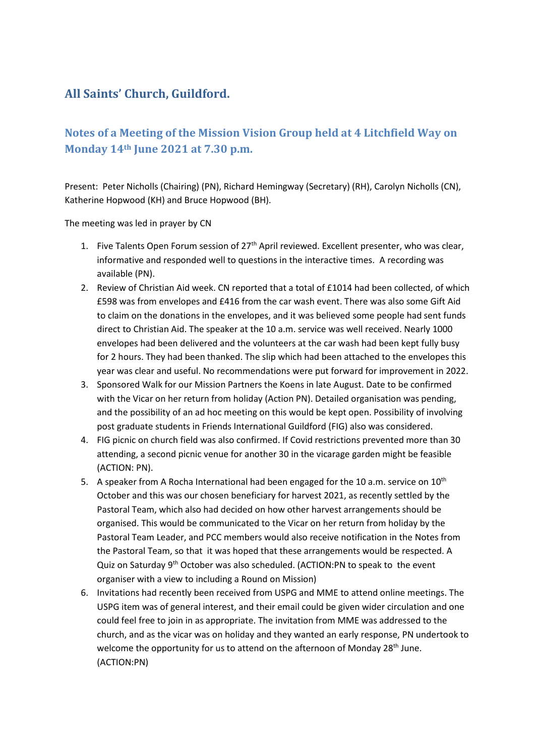## **All Saints' Church, Guildford.**

## **Notes of a Meeting of the Mission Vision Group held at 4 Litchfield Way on Monday 14th June 2021 at 7.30 p.m.**

Present: Peter Nicholls (Chairing) (PN), Richard Hemingway (Secretary) (RH), Carolyn Nicholls (CN), Katherine Hopwood (KH) and Bruce Hopwood (BH).

The meeting was led in prayer by CN

- 1. Five Talents Open Forum session of 27<sup>th</sup> April reviewed. Excellent presenter, who was clear, informative and responded well to questions in the interactive times. A recording was available (PN).
- 2. Review of Christian Aid week. CN reported that a total of £1014 had been collected, of which £598 was from envelopes and £416 from the car wash event. There was also some Gift Aid to claim on the donations in the envelopes, and it was believed some people had sent funds direct to Christian Aid. The speaker at the 10 a.m. service was well received. Nearly 1000 envelopes had been delivered and the volunteers at the car wash had been kept fully busy for 2 hours. They had been thanked. The slip which had been attached to the envelopes this year was clear and useful. No recommendations were put forward for improvement in 2022.
- 3. Sponsored Walk for our Mission Partners the Koens in late August. Date to be confirmed with the Vicar on her return from holiday (Action PN). Detailed organisation was pending, and the possibility of an ad hoc meeting on this would be kept open. Possibility of involving post graduate students in Friends International Guildford (FIG) also was considered.
- 4. FIG picnic on church field was also confirmed. If Covid restrictions prevented more than 30 attending, a second picnic venue for another 30 in the vicarage garden might be feasible (ACTION: PN).
- 5. A speaker from A Rocha International had been engaged for the 10 a.m. service on  $10^{th}$ October and this was our chosen beneficiary for harvest 2021, as recently settled by the Pastoral Team, which also had decided on how other harvest arrangements should be organised. This would be communicated to the Vicar on her return from holiday by the Pastoral Team Leader, and PCC members would also receive notification in the Notes from the Pastoral Team, so that it was hoped that these arrangements would be respected. A Quiz on Saturday 9<sup>th</sup> October was also scheduled. (ACTION:PN to speak to the event organiser with a view to including a Round on Mission)
- 6. Invitations had recently been received from USPG and MME to attend online meetings. The USPG item was of general interest, and their email could be given wider circulation and one could feel free to join in as appropriate. The invitation from MME was addressed to the church, and as the vicar was on holiday and they wanted an early response, PN undertook to welcome the opportunity for us to attend on the afternoon of Monday 28<sup>th</sup> June. (ACTION:PN)